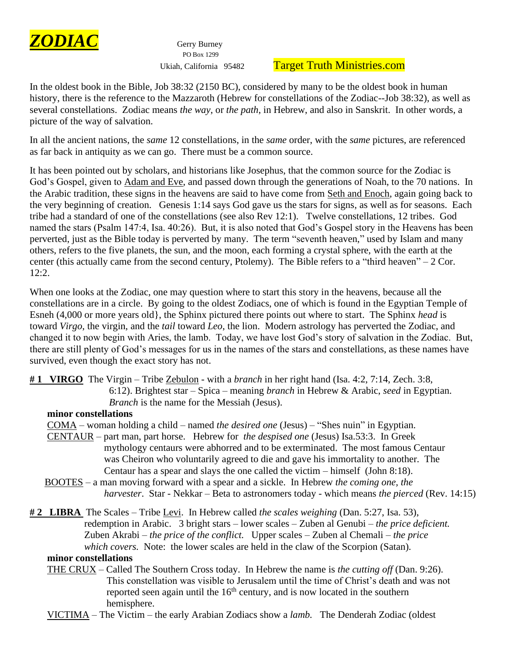

PO Box 1299

# Ukiah, California 95482 Target Truth Ministries.com

In the oldest book in the Bible, Job 38:32 (2150 BC), considered by many to be the oldest book in human history, there is the reference to the Mazzaroth (Hebrew for constellations of the Zodiac--Job 38:32), as well as several constellations. Zodiac means *the way*, or *the path*, in Hebrew, and also in Sanskrit. In other words, a picture of the way of salvation.

In all the ancient nations, the *same* 12 constellations, in the *same* order, with the *same* pictures, are referenced as far back in antiquity as we can go. There must be a common source.

It has been pointed out by scholars, and historians like Josephus, that the common source for the Zodiac is God's Gospel, given to Adam and Eve, and passed down through the generations of Noah, to the 70 nations. In the Arabic tradition, these signs in the heavens are said to have come from Seth and Enoch, again going back to the very beginning of creation. Genesis 1:14 says God gave us the stars for signs, as well as for seasons. Each tribe had a standard of one of the constellations (see also Rev 12:1). Twelve constellations, 12 tribes. God named the stars (Psalm 147:4, Isa. 40:26). But, it is also noted that God's Gospel story in the Heavens has been perverted, just as the Bible today is perverted by many. The term "seventh heaven," used by Islam and many others, refers to the five planets, the sun, and the moon, each forming a crystal sphere, with the earth at the center (this actually came from the second century, Ptolemy). The Bible refers to a "third heaven"  $-2$  Cor.  $12:2.$ 

When one looks at the Zodiac, one may question where to start this story in the heavens, because all the constellations are in a circle. By going to the oldest Zodiacs, one of which is found in the Egyptian Temple of Esneh (4,000 or more years old}, the Sphinx pictured there points out where to start. The Sphinx *head* is toward *Virgo*, the virgin, and the *tail* toward *Leo*, the lion. Modern astrology has perverted the Zodiac, and changed it to now begin with Aries, the lamb. Today, we have lost God's story of salvation in the Zodiac. But, there are still plenty of God's messages for us in the names of the stars and constellations, as these names have survived, even though the exact story has not.

**# 1 VIRGO** The Virgin – Tribe Zebulon - with a *branch* in her right hand (Isa. 4:2, 7:14, Zech. 3:8, 6:12). Brightest star – Spica – meaning *branch* in Hebrew & Arabic, *seed* in Egyptian. *Branch* is the name for the Messiah (Jesus).

### **minor constellations**

COMA – woman holding a child – named *the desired one* (Jesus) – "Shes nuin" in Egyptian.

- CENTAUR part man, part horse. Hebrew for *the despised one* (Jesus) Isa.53:3. In Greek mythology centaurs were abhorred and to be exterminated. The most famous Centaur was Cheiron who voluntarily agreed to die and gave his immortality to another. The Centaur has a spear and slays the one called the victim – himself (John 8:18).
- BOOTES a man moving forward with a spear and a sickle. In Hebrew *the coming one, the harvester*. Star - Nekkar – Beta to astronomers today - which means *the pierced* (Rev. 14:15)
- **# 2 LIBRA** The Scales Tribe Levi. In Hebrew called *the scales weighing* (Dan. 5:27, Isa. 53), redemption in Arabic. 3 bright stars – lower scales – Zuben al Genubi – *the price deficient.* Zuben Akrabi – *the price of the conflict.* Upper scales – Zuben al Chemali – *the price which covers.* Note: the lower scales are held in the claw of the Scorpion (Satan).

### **minor constellations**

 THE CRUX – Called The Southern Cross today. In Hebrew the name is *the cutting off* (Dan. 9:26). This constellation was visible to Jerusalem until the time of Christ's death and was not reported seen again until the  $16<sup>th</sup>$  century, and is now located in the southern hemisphere.

VICTIMA – The Victim – the early Arabian Zodiacs show a *lamb.* The Denderah Zodiac (oldest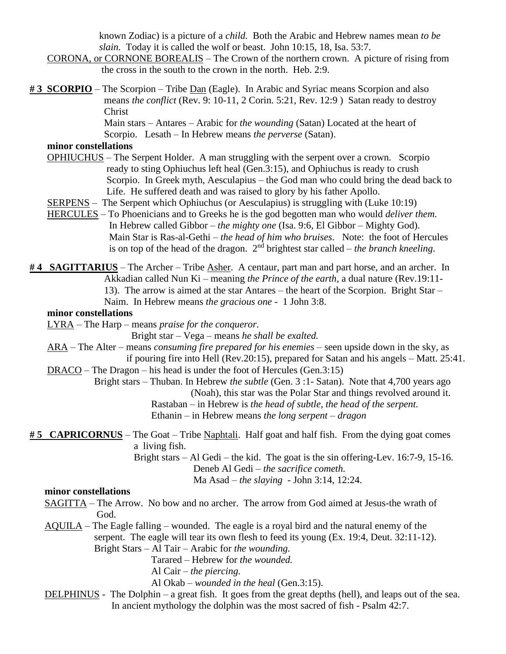known Zodiac) is a picture of a *child.* Both the Arabic and Hebrew names mean *to be slain.* Today it is called the wolf or beast. John 10:15, 18, Isa. 53:7.

- CORONA, or CORNONE BOREALIS The Crown of the northern crown. A picture of rising from the cross in the south to the crown in the north. Heb. 2:9.
- **# 3 SCORPIO** The Scorpion Tribe Dan (Eagle). In Arabic and Syriac means Scorpion and also means *the conflict* (Rev. 9: 10-11, 2 Corin. 5:21, Rev. 12:9 ) Satan ready to destroy Christ

 Main stars – Antares – Arabic for *the wounding* (Satan) Located at the heart of Scorpio. Lesath – In Hebrew means *the perverse* (Satan).

### **minor constellations**

- OPHIUCHUS The Serpent Holder. A man struggling with the serpent over a crown. Scorpio ready to sting Ophiuchus left heal (Gen.3:15), and Ophiuchus is ready to crush Scorpio. In Greek myth, Aesculapius – the God man who could bring the dead back to Life. He suffered death and was raised to glory by his father Apollo.
- SERPENS The Serpent which Ophiuchus (or Aesculapius) is struggling with (Luke 10:19)
- HERCULES To Phoenicians and to Greeks he is the god begotten man who would *deliver them.* In Hebrew called Gibbor – *the mighty one* (Isa. 9:6, El Gibbor – Mighty God). Main Star is Ras-al-Gethi – *the head of him who bruises*. Note: the foot of Hercules is on top of the head of the dragon.  $2<sup>nd</sup>$  brightest star called – *the branch kneeling*.

**# 4 SAGITTARIUS** – The Archer – Tribe Asher. A centaur, part man and part horse, and an archer. In Akkadian called Nun Ki – meaning *the Prince of the earth*, a dual nature (Rev.19:11- 13). The arrow is aimed at the star Antares – the heart of the Scorpion. Bright Star – Naim. In Hebrew means *the gracious one -* 1 John 3:8.

## **minor constellations**

LYRA – The Harp – means *praise for the conqueror.*

Bright star – Vega – means *he shall be exalted.*

- ARA The Alter means *consuming fire prepared for his enemies –* seen upside down in the sky, as if pouring fire into Hell (Rev.20:15), prepared for Satan and his angels – Matt. 25:41.
- DRACO The Dragon his head is under the foot of Hercules (Gen.3:15)

 Bright stars – Thuban. In Hebrew *the subtle* (Gen. 3 :1- Satan). Note that 4,700 years ago (Noah), this star was the Polar Star and things revolved around it.

> Rastaban – in Hebrew is *the head of subtle, the head of the serpent.* Ethanin – in Hebrew means *the long serpent – dragon*

**# 5 CAPRICORNUS** – The Goat – Tribe Naphtali. Half goat and half fish. From the dying goat comes a living fish.

> Bright stars – Al Gedi – the kid. The goat is the sin offering-Lev. 16:7-9, 15-16. Deneb Al Gedi – *the sacrifice cometh.* Ma Asad – *the slaying* - John 3:14, 12:24.

### **minor constellations**

- SAGITTA The Arrow. No bow and no archer. The arrow from God aimed at Jesus-the wrath of God.
- AQUILA The Eagle falling wounded. The eagle is a royal bird and the natural enemy of the serpent. The eagle will tear its own flesh to feed its young (Ex. 19:4, Deut. 32:11-12). Bright Stars – Al Tair – Arabic for *the wounding.*
	- Tarared Hebrew for *the wounded.*
	- Al Cair *the piercing.*

Al Okab – *wounded in the heal* (Gen.3:15).

 DELPHINUS - The Dolphin – a great fish. It goes from the great depths (hell), and leaps out of the sea. In ancient mythology the dolphin was the most sacred of fish - Psalm 42:7.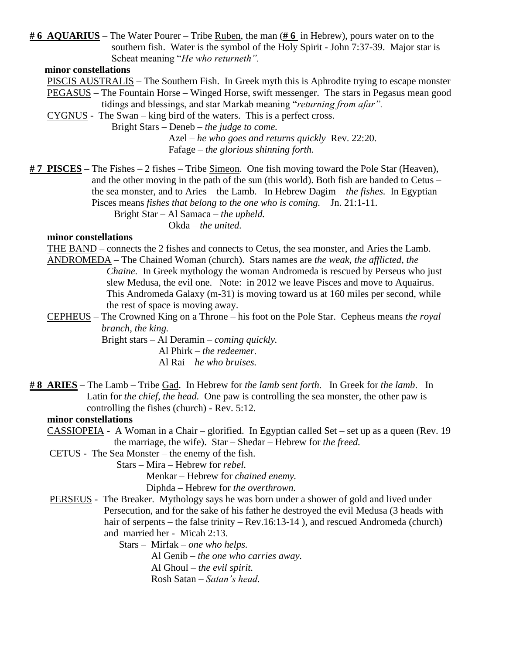**# 6 AQUARIUS** – The Water Pourer – Tribe Ruben, the man (**# 6** in Hebrew), pours water on to the southern fish. Water is the symbol of the Holy Spirit - John 7:37-39. Major star is Scheat meaning "*He who returneth".*

#### **minor constellations**

PISCIS AUSTRALIS – The Southern Fish. In Greek myth this is Aphrodite trying to escape monster

 PEGASUS – The Fountain Horse – Winged Horse, swift messenger. The stars in Pegasus mean good tidings and blessings, and star Markab meaning "*returning from afar".*

CYGNUS - The Swan – king bird of the waters. This is a perfect cross.

Bright Stars – Deneb – *the judge to come.*

Azel – *he who goes and returns quickly* Rev. 22:20. Fafage – *the glorious shinning forth.*

**# 7 PISCES –** The Fishes – 2 fishes – Tribe Simeon. One fish moving toward the Pole Star (Heaven), and the other moving in the path of the sun (this world). Both fish are banded to Cetus – the sea monster, and to Aries – the Lamb. In Hebrew Dagim – *the fishes.* In Egyptian Pisces means *fishes that belong to the one who is coming.* Jn. 21:1-11. Bright Star – Al Samaca – *the upheld.* Okda – *the united.*

#### **minor constellations**

THE BAND – connects the 2 fishes and connects to Cetus, the sea monster, and Aries the Lamb.

- ANDROMEDA The Chained Woman (church). Stars names are *the weak, the afflicted, the Chaine.* In Greek mythology the woman Andromeda is rescued by Perseus who just slew Medusa, the evil one. Note: in 2012 we leave Pisces and move to Aquairus. This Andromeda Galaxy (m-31) is moving toward us at 160 miles per second, while the rest of space is moving away.
- CEPHEUS The Crowned King on a Throne his foot on the Pole Star. Cepheus means *the royal branch, the king.*

Bright stars – Al Deramin – *coming quickly.* Al Phirk – *the redeemer.* Al Rai – *he who bruises.*

**# 8 ARIES** – The Lamb – Tribe Gad. In Hebrew for *the lamb sent forth.* In Greek for *the lamb*. In Latin for *the chief, the head.* One paw is controlling the sea monster, the other paw is controlling the fishes (church) - Rev. 5:12.

#### **minor constellations**

- CASSIOPEIA A Woman in a Chair glorified. In Egyptian called Set set up as a queen (Rev. 19 the marriage, the wife). Star – Shedar – Hebrew for *the freed.*
- CETUS The Sea Monster the enemy of the fish.

Stars – Mira – Hebrew for *rebel.*

Menkar – Hebrew for *chained enemy.*

Diphda – Hebrew for *the overthrown.*

**PERSEUS** - The Breaker. Mythology says he was born under a shower of gold and lived under Persecution, and for the sake of his father he destroyed the evil Medusa (3 heads with hair of serpents – the false trinity – Rev.16:13-14), and rescued Andromeda (church) and married her - Micah 2:13.

Stars – Mirfak – *one who helps.*

Al Genib – *the one who carries away.* Al Ghoul – *the evil spirit.* Rosh Satan – *Satan's head.*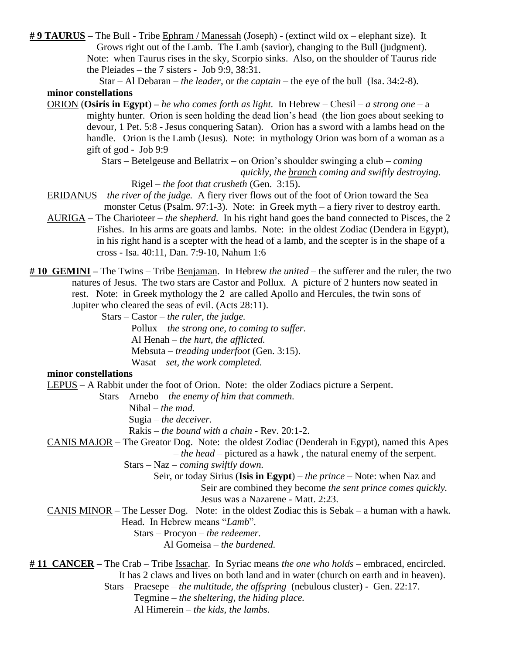**# 9 TAURUS –** The Bull - Tribe Ephram / Manessah (Joseph) - (extinct wild ox – elephant size). It Grows right out of the Lamb. The Lamb (savior), changing to the Bull (judgment). Note: when Taurus rises in the sky, Scorpio sinks. Also, on the shoulder of Taurus ride the Pleiades – the 7 sisters - Job 9:9, 38:31.

 Star – Al Debaran – *the leader,* or *the captain –* the eye of the bull (Isa. 34:2-8). **minor constellations**

ORION (**Osiris in Egypt**) **–** *he who comes forth as light.* In Hebrew – Chesil – *a strong one* – a mighty hunter. Orion is seen holding the dead lion's head (the lion goes about seeking to devour, 1 Pet. 5:8 - Jesus conquering Satan). Orion has a sword with a lambs head on the handle. Orion is the Lamb (Jesus). Note: in mythology Orion was born of a woman as a gift of god - Job 9:9

> Stars – Betelgeuse and Bellatrix – on Orion's shoulder swinging a club – *coming quickly, the branch coming and swiftly destroying.*

Rigel – *the foot that crusheth* (Gen. 3:15).

- ERIDANUS *the river of the judge.* A fiery river flows out of the foot of Orion toward the Sea monster Cetus (Psalm. 97:1-3). Note: in Greek myth – a fiery river to destroy earth.
- AURIGA The Charioteer *the shepherd.* In his right hand goes the band connected to Pisces, the 2 Fishes. In his arms are goats and lambs. Note: in the oldest Zodiac (Dendera in Egypt), in his right hand is a scepter with the head of a lamb, and the scepter is in the shape of a cross - Isa. 40:11, Dan. 7:9-10, Nahum 1:6
- **# 10 GEMINI –** The Twins Tribe Benjaman. In Hebrew *the united –* the sufferer and the ruler, the two natures of Jesus. The two stars are Castor and Pollux. A picture of 2 hunters now seated in rest. Note: in Greek mythology the 2 are called Apollo and Hercules, the twin sons of Jupiter who cleared the seas of evil. (Acts 28:11).

Stars – Castor – *the ruler, the judge.*

Pollux – *the strong one, to coming to suffer.* Al Henah – *the hurt, the afflicted.* Mebsuta – *treading underfoot* (Gen. 3:15). Wasat – *set, the work completed.*

#### **minor constellations**

LEPUS – A Rabbit under the foot of Orion. Note: the older Zodiacs picture a Serpent.

Stars – Arnebo – *the enemy of him that commeth.*

Nibal – *the mad.*

Sugia – *the deceiver.*

Rakis – *the bound with a chain -* Rev. 20:1-2.

CANIS MAJOR – The Greator Dog. Note: the oldest Zodiac (Denderah in Egypt), named this Apes

– *the head –* pictured as a hawk , the natural enemy of the serpent.

Stars – Naz – *coming swiftly down.*

- Seir, or today Sirius (**Isis in Egypt**) *the prince* Note: when Naz and Seir are combined they become *the sent prince comes quickly.* Jesus was a Nazarene - Matt. 2:23.
- CANIS MINOR The Lesser Dog. Note: in the oldest Zodiac this is Sebak a human with a hawk. Head. In Hebrew means "*Lamb*".

Stars – Procyon – *the redeemer.*

Al Gomeisa – *the burdened.*

**# 11 CANCER –** The Crab – Tribe Issachar. In Syriac means *the one who holds –* embraced, encircled. It has 2 claws and lives on both land and in water (church on earth and in heaven). Stars – Praesepe – *the multitude, the offspring* (nebulous cluster) - Gen. 22:17.

Tegmine – *the sheltering, the hiding place.*

Al Himerein – *the kids, the lambs.*